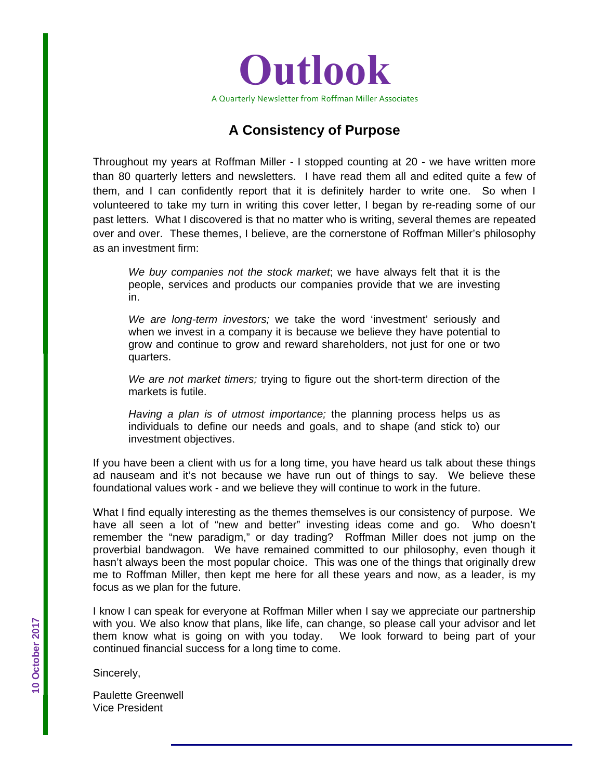

# **A Consistency of Purpose**

Throughout my years at Roffman Miller - I stopped counting at 20 - we have written more than 80 quarterly letters and newsletters. I have read them all and edited quite a few of them, and I can confidently report that it is definitely harder to write one. So when I volunteered to take my turn in writing this cover letter, I began by re-reading some of our past letters. What I discovered is that no matter who is writing, several themes are repeated over and over. These themes, I believe, are the cornerstone of Roffman Miller's philosophy as an investment firm:

*We buy companies not the stock market*; we have always felt that it is the people, services and products our companies provide that we are investing in.

*We are long-term investors;* we take the word 'investment' seriously and when we invest in a company it is because we believe they have potential to grow and continue to grow and reward shareholders, not just for one or two quarters.

*We are not market timers;* trying to figure out the short-term direction of the markets is futile.

*Having a plan is of utmost importance;* the planning process helps us as individuals to define our needs and goals, and to shape (and stick to) our investment objectives.

If you have been a client with us for a long time, you have heard us talk about these things ad nauseam and it's not because we have run out of things to say. We believe these foundational values work - and we believe they will continue to work in the future.

What I find equally interesting as the themes themselves is our consistency of purpose. We have all seen a lot of "new and better" investing ideas come and go. Who doesn't remember the "new paradigm," or day trading? Roffman Miller does not jump on the proverbial bandwagon. We have remained committed to our philosophy, even though it hasn't always been the most popular choice. This was one of the things that originally drew me to Roffman Miller, then kept me here for all these years and now, as a leader, is my focus as we plan for the future.

I know I can speak for everyone at Roffman Miller when I say we appreciate our partnership with you. We also know that plans, like life, can change, so please call your advisor and let them know what is going on with you today. We look forward to being part of your continued financial success for a long time to come.

Sincerely,

Paulette Greenwell Vice President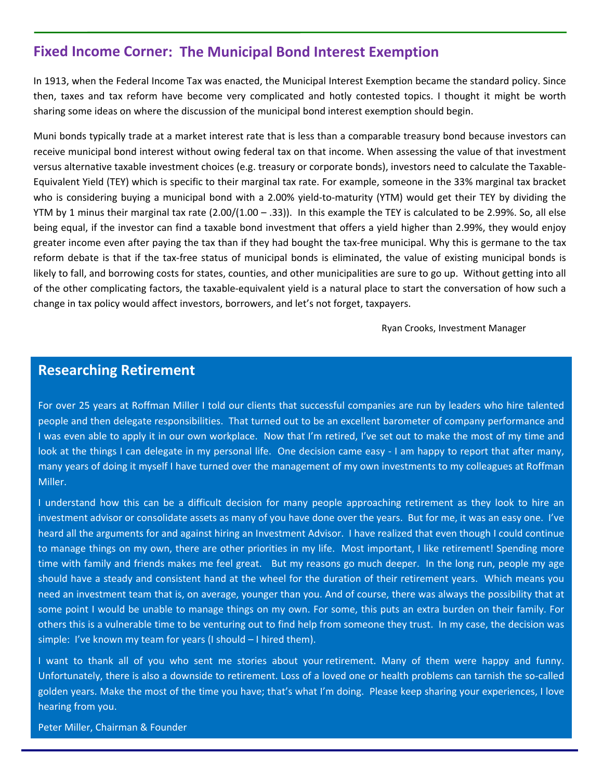### **Fixed Income Corner: The Municipal Bond Interest Exemption**

In 1913, when the Federal Income Tax was enacted, the Municipal Interest Exemption became the standard policy. Since then, taxes and tax reform have become very complicated and hotly contested topics. I thought it might be worth sharing some ideas on where the discussion of the municipal bond interest exemption should begin.

Muni bonds typically trade at a market interest rate that is less than a comparable treasury bond because investors can receive municipal bond interest without owing federal tax on that income. When assessing the value of that investment versus alternative taxable investment choices (e.g. treasury or corporate bonds), investors need to calculate the Taxable‐ Equivalent Yield (TEY) which is specific to their marginal tax rate. For example, someone in the 33% marginal tax bracket who is considering buying a municipal bond with a 2.00% yield-to-maturity (YTM) would get their TEY by dividing the YTM by 1 minus their marginal tax rate  $(2.00/(1.00 - .33))$ . In this example the TEY is calculated to be 2.99%. So, all else being equal, if the investor can find a taxable bond investment that offers a yield higher than 2.99%, they would enjoy greater income even after paying the tax than if they had bought the tax-free municipal. Why this is germane to the tax reform debate is that if the tax-free status of municipal bonds is eliminated, the value of existing municipal bonds is likely to fall, and borrowing costs for states, counties, and other municipalities are sure to go up. Without getting into all of the other complicating factors, the taxable‐equivalent yield is a natural place to start the conversation of how such a change in tax policy would affect investors, borrowers, and let's not forget, taxpayers.

Ryan Crooks, Investment Manager

#### **Researching Retirement**

For over 25 years at Roffman Miller I told our clients that successful companies are run by leaders who hire talented people and then delegate responsibilities. That turned out to be an excellent barometer of company performance and I was even able to apply it in our own workplace. Now that I'm retired, I've set out to make the most of my time and look at the things I can delegate in my personal life. One decision came easy ‐ I am happy to report that after many, many years of doing it myself I have turned over the management of my own investments to my colleagues at Roffman Miller.

I understand how this can be a difficult decision for many people approaching retirement as they look to hire an investment advisor or consolidate assets as many of you have done over the years. But for me, it was an easy one. I've heard all the arguments for and against hiring an Investment Advisor. I have realized that even though I could continue to manage things on my own, there are other priorities in my life. Most important, I like retirement! Spending more time with family and friends makes me feel great. But my reasons go much deeper. In the long run, people my age should have a steady and consistent hand at the wheel for the duration of their retirement years. Which means you need an investment team that is, on average, younger than you. And of course, there was always the possibility that at some point I would be unable to manage things on my own. For some, this puts an extra burden on their family. For others this is a vulnerable time to be venturing out to find help from someone they trust. In my case, the decision was simple: I've known my team for years (I should - I hired them).

I want to thank all of you who sent me stories about your retirement. Many of them were happy and funny. Unfortunately, there is also a downside to retirement. Loss of a loved one or health problems can tarnish the so‐called golden years. Make the most of the time you have; that's what I'm doing. Please keep sharing your experiences, I love hearing from you.

Peter Miller, Chairman & Founder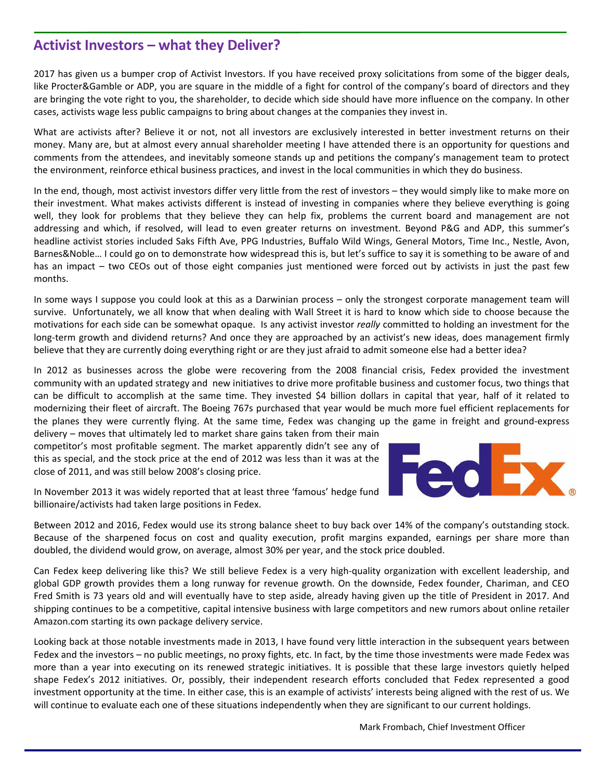## **Activist Investors – what they Deliver?**

2017 has given us a bumper crop of Activist Investors. If you have received proxy solicitations from some of the bigger deals, like Procter&Gamble or ADP, you are square in the middle of a fight for control of the company's board of directors and they are bringing the vote right to you, the shareholder, to decide which side should have more influence on the company. In other cases, activists wage less public campaigns to bring about changes at the companies they invest in.

What are activists after? Believe it or not, not all investors are exclusively interested in better investment returns on their money. Many are, but at almost every annual shareholder meeting I have attended there is an opportunity for questions and comments from the attendees, and inevitably someone stands up and petitions the company's management team to protect the environment, reinforce ethical business practices, and invest in the local communities in which they do business.

In the end, though, most activist investors differ very little from the rest of investors – they would simply like to make more on their investment. What makes activists different is instead of investing in companies where they believe everything is going well, they look for problems that they believe they can help fix, problems the current board and management are not addressing and which, if resolved, will lead to even greater returns on investment. Beyond P&G and ADP, this summer's headline activist stories included Saks Fifth Ave, PPG Industries, Buffalo Wild Wings, General Motors, Time Inc., Nestle, Avon, Barnes&Noble… I could go on to demonstrate how widespread this is, but let's suffice to say it is something to be aware of and has an impact – two CEOs out of those eight companies just mentioned were forced out by activists in just the past few months.

In some ways I suppose you could look at this as a Darwinian process – only the strongest corporate management team will survive. Unfortunately, we all know that when dealing with Wall Street it is hard to know which side to choose because the motivations for each side can be somewhat opaque. Is any activist investor *really* committed to holding an investment for the long‐term growth and dividend returns? And once they are approached by an activist's new ideas, does management firmly believe that they are currently doing everything right or are they just afraid to admit someone else had a better idea?

In 2012 as businesses across the globe were recovering from the 2008 financial crisis, Fedex provided the investment community with an updated strategy and new initiatives to drive more profitable business and customer focus, two things that can be difficult to accomplish at the same time. They invested \$4 billion dollars in capital that year, half of it related to modernizing their fleet of aircraft. The Boeing 767s purchased that year would be much more fuel efficient replacements for the planes they were currently flying. At the same time, Fedex was changing up the game in freight and ground‐express

delivery – moves that ultimately led to market share gains taken from their main competitor's most profitable segment. The market apparently didn't see any of this as special, and the stock price at the end of 2012 was less than it was at the close of 2011, and was still below 2008's closing price.



In November 2013 it was widely reported that at least three 'famous' hedge fund billionaire/activists had taken large positions in Fedex.

Between 2012 and 2016, Fedex would use its strong balance sheet to buy back over 14% of the company's outstanding stock. Because of the sharpened focus on cost and quality execution, profit margins expanded, earnings per share more than doubled, the dividend would grow, on average, almost 30% per year, and the stock price doubled.

Can Fedex keep delivering like this? We still believe Fedex is a very high‐quality organization with excellent leadership, and global GDP growth provides them a long runway for revenue growth. On the downside, Fedex founder, Chariman, and CEO Fred Smith is 73 years old and will eventually have to step aside, already having given up the title of President in 2017. And shipping continues to be a competitive, capital intensive business with large competitors and new rumors about online retailer Amazon.com starting its own package delivery service.

Looking back at those notable investments made in 2013, I have found very little interaction in the subsequent years between Fedex and the investors – no public meetings, no proxy fights, etc. In fact, by the time those investments were made Fedex was more than a year into executing on its renewed strategic initiatives. It is possible that these large investors quietly helped shape Fedex's 2012 initiatives. Or, possibly, their independent research efforts concluded that Fedex represented a good investment opportunity at the time. In either case, this is an example of activists' interests being aligned with the rest of us. We will continue to evaluate each one of these situations independently when they are significant to our current holdings.

Mark Frombach, Chief Investment Officer